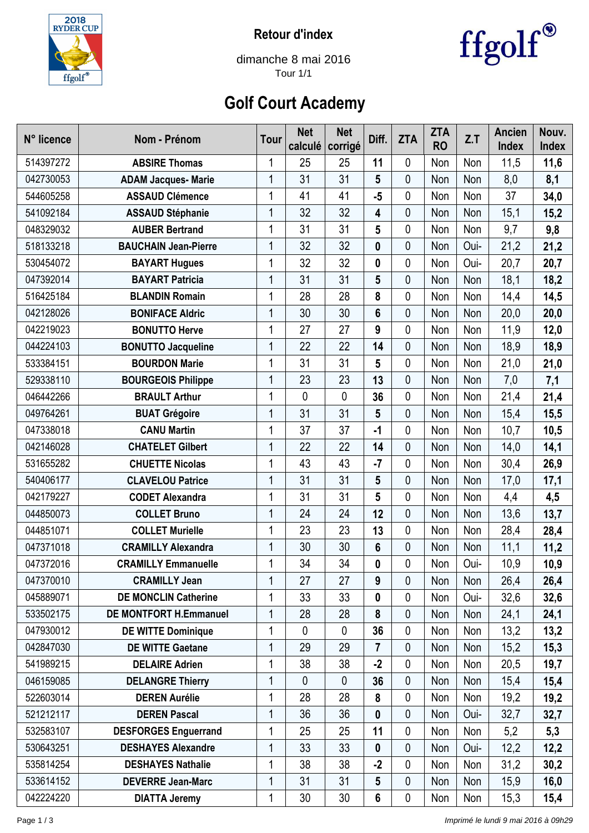

**Retour d'index**



dimanche 8 mai 2016 Tour 1/1

## **Golf Court Academy**

| N° licence | Nom - Prénom                  | Tour         | <b>Net</b><br>calculé | <b>Net</b><br>corrigé | Diff.           | <b>ZTA</b>  | <b>ZTA</b><br><b>RO</b> | Z.T  | <b>Ancien</b><br><b>Index</b> | Nouv.<br>Index |
|------------|-------------------------------|--------------|-----------------------|-----------------------|-----------------|-------------|-------------------------|------|-------------------------------|----------------|
| 514397272  | <b>ABSIRE Thomas</b>          | 1            | 25                    | 25                    | 11              | 0           | Non                     | Non  | 11,5                          | 11,6           |
| 042730053  | <b>ADAM Jacques- Marie</b>    | 1            | 31                    | 31                    | 5               | 0           | Non                     | Non  | 8,0                           | 8,1            |
| 544605258  | <b>ASSAUD Clémence</b>        | 1            | 41                    | 41                    | $-5$            | 0           | Non                     | Non  | 37                            | 34,0           |
| 541092184  | <b>ASSAUD Stéphanie</b>       | 1            | 32                    | 32                    | 4               | 0           | Non                     | Non  | 15,1                          | 15,2           |
| 048329032  | <b>AUBER Bertrand</b>         | 1            | 31                    | 31                    | $5\phantom{.0}$ | $\mathbf 0$ | Non                     | Non  | 9,7                           | 9,8            |
| 518133218  | <b>BAUCHAIN Jean-Pierre</b>   | 1            | 32                    | 32                    | $\mathbf 0$     | 0           | Non                     | Oui- | 21,2                          | 21,2           |
| 530454072  | <b>BAYART Hugues</b>          | 1            | 32                    | 32                    | 0               | 0           | Non                     | Oui- | 20,7                          | 20,7           |
| 047392014  | <b>BAYART Patricia</b>        | 1            | 31                    | 31                    | 5               | 0           | Non                     | Non  | 18,1                          | 18,2           |
| 516425184  | <b>BLANDIN Romain</b>         | 1            | 28                    | 28                    | 8               | 0           | Non                     | Non  | 14,4                          | 14,5           |
| 042128026  | <b>BONIFACE Aldric</b>        | $\mathbf{1}$ | 30                    | 30                    | $6\phantom{a}$  | $\mathbf 0$ | Non                     | Non  | 20,0                          | 20,0           |
| 042219023  | <b>BONUTTO Herve</b>          | 1            | 27                    | 27                    | 9               | 0           | Non                     | Non  | 11,9                          | 12,0           |
| 044224103  | <b>BONUTTO Jacqueline</b>     | 1            | 22                    | 22                    | 14              | 0           | Non                     | Non  | 18,9                          | 18,9           |
| 533384151  | <b>BOURDON Marie</b>          | 1            | 31                    | 31                    | 5               | 0           | Non                     | Non  | 21,0                          | 21,0           |
| 529338110  | <b>BOURGEOIS Philippe</b>     | 1            | 23                    | 23                    | 13              | 0           | Non                     | Non  | 7,0                           | 7,1            |
| 046442266  | <b>BRAULT Arthur</b>          | 1            | 0                     | $\mathbf 0$           | 36              | 0           | Non                     | Non  | 21,4                          | 21,4           |
| 049764261  | <b>BUAT Grégoire</b>          | 1            | 31                    | 31                    | $5\phantom{.0}$ | $\mathbf 0$ | Non                     | Non  | 15,4                          | 15,5           |
| 047338018  | <b>CANU Martin</b>            | $\mathbf{1}$ | 37                    | 37                    | $-1$            | 0           | Non                     | Non  | 10,7                          | 10,5           |
| 042146028  | <b>CHATELET Gilbert</b>       | 1            | 22                    | 22                    | 14              | 0           | Non                     | Non  | 14,0                          | 14,1           |
| 531655282  | <b>CHUETTE Nicolas</b>        | 1            | 43                    | 43                    | $-7$            | 0           | Non                     | Non  | 30,4                          | 26,9           |
| 540406177  | <b>CLAVELOU Patrice</b>       | 1            | 31                    | 31                    | 5               | 0           | Non                     | Non  | 17,0                          | 17,1           |
| 042179227  | <b>CODET Alexandra</b>        | 1            | 31                    | 31                    | 5               | 0           | Non                     | Non  | 4,4                           | 4,5            |
| 044850073  | <b>COLLET Bruno</b>           | 1            | 24                    | 24                    | 12              | 0           | Non                     | Non  | 13,6                          | 13,7           |
| 044851071  | <b>COLLET Murielle</b>        | 1            | 23                    | 23                    | 13              | 0           | Non                     | Non  | 28,4                          | 28,4           |
| 047371018  | <b>CRAMILLY Alexandra</b>     | 1            | 30                    | 30                    | 6               | 0           | Non                     | Non  | 11,1                          | 11,2           |
| 047372016  | <b>CRAMILLY Emmanuelle</b>    | 1            | 34                    | 34                    | 0               | 0           | Non                     | Oui- | 10,9                          | 10,9           |
| 047370010  | <b>CRAMILLY Jean</b>          | 1            | 27                    | 27                    | 9               | 0           | Non                     | Non  | 26,4                          | 26,4           |
| 045889071  | <b>DE MONCLIN Catherine</b>   | 1            | 33                    | 33                    | 0               | 0           | Non                     | Oui- | 32,6                          | 32,6           |
| 533502175  | <b>DE MONTFORT H.Emmanuel</b> | 1            | 28                    | 28                    | 8               | 0           | Non                     | Non  | 24,1                          | 24,1           |
| 047930012  | <b>DE WITTE Dominique</b>     | 1            | 0                     | 0                     | 36              | 0           | Non                     | Non  | 13,2                          | 13,2           |
| 042847030  | <b>DE WITTE Gaetane</b>       | 1            | 29                    | 29                    | 7               | 0           | Non                     | Non  | 15,2                          | 15,3           |
| 541989215  | <b>DELAIRE Adrien</b>         | 1            | 38                    | 38                    | $-2$            | 0           | Non                     | Non  | 20,5                          | 19,7           |
| 046159085  | <b>DELANGRE Thierry</b>       | 1            | $\mathbf{0}$          | 0                     | 36              | $\mathbf 0$ | Non                     | Non  | 15,4                          | 15,4           |
| 522603014  | <b>DEREN Aurélie</b>          | 1            | 28                    | 28                    | 8               | 0           | Non                     | Non  | 19,2                          | 19,2           |
| 521212117  | <b>DEREN Pascal</b>           | 1            | 36                    | 36                    | 0               | 0           | Non                     | Oui- | 32,7                          | 32,7           |
| 532583107  | <b>DESFORGES Enguerrand</b>   | 1            | 25                    | 25                    | 11              | 0           | Non                     | Non  | 5,2                           | 5,3            |
| 530643251  | <b>DESHAYES Alexandre</b>     | 1            | 33                    | 33                    | 0               | 0           | Non                     | Oui- | 12,2                          | 12,2           |
| 535814254  | <b>DESHAYES Nathalie</b>      | 1            | 38                    | 38                    | $-2$            | 0           | Non                     | Non  | 31,2                          | 30,2           |
| 533614152  | <b>DEVERRE Jean-Marc</b>      | 1            | 31                    | 31                    | $5\phantom{.0}$ | 0           | Non                     | Non  | 15,9                          | 16,0           |
| 042224220  | <b>DIATTA Jeremy</b>          | 1            | 30                    | 30                    | 6               | 0           | Non                     | Non  | 15,3                          | 15,4           |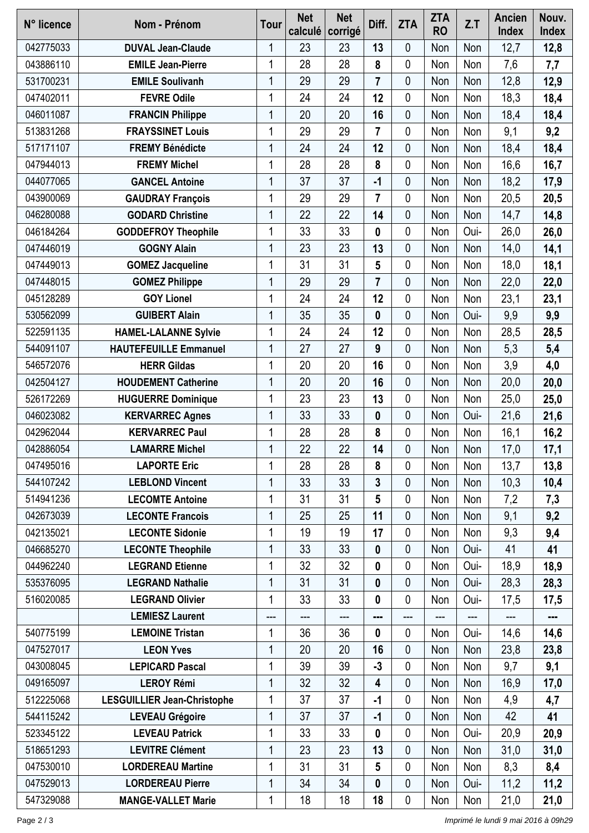| N° licence | Nom - Prénom                       | <b>Tour</b> | <b>Net</b><br>calculé | <b>Net</b><br>corrigé | Diff.                    | <b>ZTA</b>  | <b>ZTA</b><br><b>RO</b> | Z.T  | Ancien<br><b>Index</b> | Nouv.<br>Index |
|------------|------------------------------------|-------------|-----------------------|-----------------------|--------------------------|-------------|-------------------------|------|------------------------|----------------|
| 042775033  | <b>DUVAL Jean-Claude</b>           | 1           | 23                    | 23                    | 13                       | 0           | Non                     | Non  | 12,7                   | 12,8           |
| 043886110  | <b>EMILE Jean-Pierre</b>           | 1           | 28                    | 28                    | 8                        | 0           | Non                     | Non  | 7,6                    | 7,7            |
| 531700231  | <b>EMILE Soulivanh</b>             | 1           | 29                    | 29                    | $\overline{7}$           | 0           | Non                     | Non  | 12,8                   | 12,9           |
| 047402011  | <b>FEVRE Odile</b>                 | 1           | 24                    | 24                    | 12                       | 0           | Non                     | Non  | 18,3                   | 18,4           |
| 046011087  | <b>FRANCIN Philippe</b>            | 1           | 20                    | 20                    | 16                       | 0           | Non                     | Non  | 18,4                   | 18,4           |
| 513831268  | <b>FRAYSSINET Louis</b>            | 1           | 29                    | 29                    | 7                        | 0           | Non                     | Non  | 9,1                    | 9,2            |
| 517171107  | <b>FREMY Bénédicte</b>             | 1           | 24                    | 24                    | 12                       | 0           | Non                     | Non  | 18,4                   | 18,4           |
| 047944013  | <b>FREMY Michel</b>                | 1           | 28                    | 28                    | 8                        | 0           | Non                     | Non  | 16,6                   | 16,7           |
| 044077065  | <b>GANCEL Antoine</b>              | 1           | 37                    | 37                    | $-1$                     | 0           | Non                     | Non  | 18,2                   | 17,9           |
| 043900069  | <b>GAUDRAY François</b>            | 1           | 29                    | 29                    | $\overline{\mathcal{L}}$ | 0           | Non                     | Non  | 20,5                   | 20,5           |
| 046280088  | <b>GODARD Christine</b>            | 1           | 22                    | 22                    | 14                       | 0           | Non                     | Non  | 14,7                   | 14,8           |
| 046184264  | <b>GODDEFROY Theophile</b>         |             | 33                    | 33                    | 0                        | 0           | Non                     | Oui- | 26,0                   | 26,0           |
| 047446019  | <b>GOGNY Alain</b>                 | 1           | 23                    | 23                    | 13                       | 0           | Non                     | Non  | 14,0                   | 14,1           |
| 047449013  | <b>GOMEZ Jacqueline</b>            |             | 31                    | 31                    | 5                        | 0           | Non                     | Non  | 18,0                   | 18,1           |
| 047448015  | <b>GOMEZ Philippe</b>              | 1           | 29                    | 29                    | $\overline{7}$           | 0           | Non                     | Non  | 22,0                   | 22,0           |
| 045128289  | <b>GOY Lionel</b>                  | 1           | 24                    | 24                    | 12                       | 0           | Non                     | Non  | 23,1                   | 23,1           |
| 530562099  | <b>GUIBERT Alain</b>               |             | 35                    | 35                    | 0                        | 0           | Non                     | Oui- | 9,9                    | 9,9            |
| 522591135  | <b>HAMEL-LALANNE Sylvie</b>        | 1           | 24                    | 24                    | 12                       | 0           | Non                     | Non  | 28,5                   | 28,5           |
| 544091107  | <b>HAUTEFEUILLE Emmanuel</b>       | 1           | 27                    | 27                    | 9                        | 0           | Non                     | Non  | 5,3                    | 5,4            |
| 546572076  | <b>HERR Gildas</b>                 | 1           | 20                    | 20                    | 16                       | 0           | Non                     | Non  | 3,9                    | 4,0            |
| 042504127  | <b>HOUDEMENT Catherine</b>         | 1           | 20                    | 20                    | 16                       | 0           | Non                     | Non  | 20,0                   | 20,0           |
| 526172269  | <b>HUGUERRE Dominique</b>          | 1           | 23                    | 23                    | 13                       | 0           | Non                     | Non  | 25,0                   | 25,0           |
| 046023082  | <b>KERVARREC Agnes</b>             | 1           | 33                    | 33                    | 0                        | 0           | Non                     | Oui- | 21,6                   | 21,6           |
| 042962044  | <b>KERVARREC Paul</b>              | 1           | 28                    | 28                    | 8                        | 0           | Non                     | Non  | 16,1                   | 16,2           |
| 042886054  | <b>LAMARRE Michel</b>              | 1           | 22                    | 22                    | 14                       | 0           | Non                     | Non  | 17,0                   | 17,1           |
| 047495016  | <b>LAPORTE Eric</b>                | 1           | 28                    | 28                    | 8                        | 0           | Non                     | Non  | 13,7                   | 13,8           |
| 544107242  | <b>LEBLOND Vincent</b>             | 1           | 33                    | 33                    | 3                        | 0           | Non                     | Non  | 10,3                   | 10,4           |
| 514941236  | <b>LECOMTE Antoine</b>             |             | 31                    | 31                    | 5                        | 0           | Non                     | Non  | 7,2                    | 7,3            |
| 042673039  | <b>LECONTE Francois</b>            | 1           | 25                    | 25                    | 11                       | 0           | Non                     | Non  | 9,1                    | 9,2            |
| 042135021  | <b>LECONTE Sidonie</b>             | 1           | 19                    | 19                    | 17                       | $\mathbf 0$ | Non                     | Non  | 9,3                    | 9,4            |
| 046685270  | <b>LECONTE Theophile</b>           | 1           | 33                    | 33                    | $\mathbf 0$              | 0           | Non                     | Oui- | 41                     | 41             |
| 044962240  | <b>LEGRAND Etienne</b>             | 1           | 32                    | 32                    | 0                        | 0           | Non                     | Oui- | 18,9                   | 18,9           |
| 535376095  | <b>LEGRAND Nathalie</b>            | 1           | 31                    | 31                    | 0                        | 0           | Non                     | Oui- | 28,3                   | 28,3           |
| 516020085  | <b>LEGRAND Olivier</b>             | 1           | 33                    | 33                    | 0                        | 0           | Non                     | Oui- | 17,5                   | 17,5           |
|            | <b>LEMIESZ Laurent</b>             | ---         | ---                   | ---                   | ---                      | ---         | ---                     | ---  | ---                    |                |
| 540775199  | <b>LEMOINE Tristan</b>             | 1           | 36                    | 36                    | 0                        | 0           | Non                     | Oui- | 14,6                   | 14,6           |
| 047527017  | <b>LEON Yves</b>                   | 1           | 20                    | 20                    | 16                       | 0           | Non                     | Non  | 23,8                   | 23,8           |
| 043008045  | <b>LEPICARD Pascal</b>             | 1           | 39                    | 39                    | $-3$                     | 0           | Non                     | Non  | 9,7                    | 9,1            |
| 049165097  | <b>LEROY Rémi</b>                  | 1           | 32                    | 32                    | 4                        | 0           | Non                     | Non  | 16,9                   | 17,0           |
| 512225068  | <b>LESGUILLIER Jean-Christophe</b> | 1           | 37                    | 37                    | $-1$                     | 0           | Non                     | Non  | 4,9                    | 4,7            |
| 544115242  | <b>LEVEAU Grégoire</b>             | 1           | 37                    | 37                    | $-1$                     | 0           | Non                     | Non  | 42                     | 41             |
| 523345122  | <b>LEVEAU Patrick</b>              | 1           | 33                    | 33                    | 0                        | 0           | Non                     | Oui- | 20,9                   | 20,9           |
| 518651293  | <b>LEVITRE Clément</b>             | 1           | 23                    | 23                    | 13                       | 0           | Non                     | Non  | 31,0                   | 31,0           |
| 047530010  | <b>LORDEREAU Martine</b>           | 1           | 31                    | 31                    | 5                        | 0           | Non                     | Non  | 8,3                    | 8,4            |
| 047529013  | <b>LORDEREAU Pierre</b>            | 1           | 34                    | 34                    | 0                        | 0           | Non                     | Oui- | 11,2                   | 11,2           |
| 547329088  | <b>MANGE-VALLET Marie</b>          | 1           | 18                    | 18                    | 18                       | 0           | Non                     | Non  | 21,0                   | 21,0           |
|            |                                    |             |                       |                       |                          |             |                         |      |                        |                |